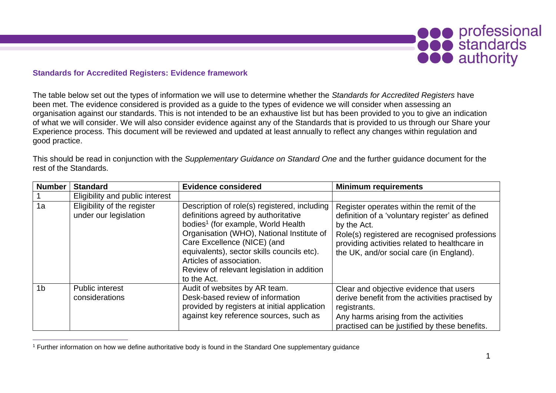

## **Standards for Accredited Registers: Evidence framework**

The table below set out the types of information we will use to determine whether the *Standards for Accredited Registers* have been met. The evidence considered is provided as a guide to the types of evidence we will consider when assessing an organisation against our standards. This is not intended to be an exhaustive list but has been provided to you to give an indication of what we will consider. We will also consider evidence against any of the Standards that is provided to us through our Share your Experience process. This document will be reviewed and updated at least annually to reflect any changes within regulation and good practice.

This should be read in conjunction with the *Supplementary Guidance on Standard One* and the further guidance document for the rest of the Standards.

| <b>Number</b>  | <b>Standard</b>                                      | <b>Evidence considered</b>                                                                                                                                                                                                                                                                                                                               | <b>Minimum requirements</b>                                                                                                                                                                                                                               |
|----------------|------------------------------------------------------|----------------------------------------------------------------------------------------------------------------------------------------------------------------------------------------------------------------------------------------------------------------------------------------------------------------------------------------------------------|-----------------------------------------------------------------------------------------------------------------------------------------------------------------------------------------------------------------------------------------------------------|
|                | Eligibility and public interest                      |                                                                                                                                                                                                                                                                                                                                                          |                                                                                                                                                                                                                                                           |
| 1a             | Eligibility of the register<br>under our legislation | Description of role(s) registered, including<br>definitions agreed by authoritative<br>bodies <sup>1</sup> (for example, World Health<br>Organisation (WHO), National Institute of<br>Care Excellence (NICE) (and<br>equivalents), sector skills councils etc).<br>Articles of association.<br>Review of relevant legislation in addition<br>to the Act. | Register operates within the remit of the<br>definition of a 'voluntary register' as defined<br>by the Act.<br>Role(s) registered are recognised professions<br>providing activities related to healthcare in<br>the UK, and/or social care (in England). |
| 1 <sub>b</sub> | <b>Public interest</b><br>considerations             | Audit of websites by AR team.<br>Desk-based review of information<br>provided by registers at initial application<br>against key reference sources, such as                                                                                                                                                                                              | Clear and objective evidence that users<br>derive benefit from the activities practised by<br>registrants.<br>Any harms arising from the activities<br>practised can be justified by these benefits.                                                      |

<sup>1</sup> Further information on how we define authoritative body is found in the Standard One supplementary guidance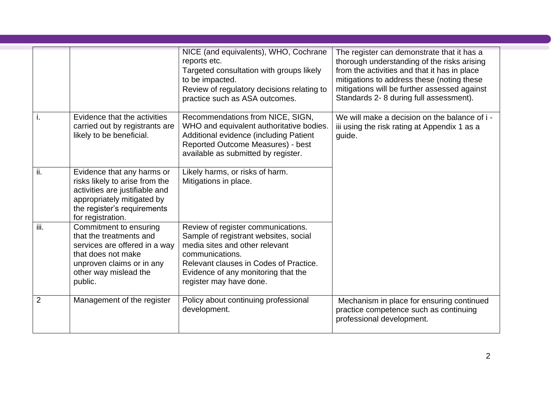|                |                                                                                                                                                                                  | NICE (and equivalents), WHO, Cochrane<br>reports etc.<br>Targeted consultation with groups likely<br>to be impacted.<br>Review of regulatory decisions relating to<br>practice such as ASA outcomes.                                         | The register can demonstrate that it has a<br>thorough understanding of the risks arising<br>from the activities and that it has in place<br>mitigations to address these (noting these<br>mitigations will be further assessed against<br>Standards 2-8 during full assessment). |
|----------------|----------------------------------------------------------------------------------------------------------------------------------------------------------------------------------|----------------------------------------------------------------------------------------------------------------------------------------------------------------------------------------------------------------------------------------------|-----------------------------------------------------------------------------------------------------------------------------------------------------------------------------------------------------------------------------------------------------------------------------------|
| ۱.             | Evidence that the activities<br>carried out by registrants are<br>likely to be beneficial.                                                                                       | Recommendations from NICE, SIGN,<br>WHO and equivalent authoritative bodies.<br>Additional evidence (including Patient<br>Reported Outcome Measures) - best<br>available as submitted by register.                                           | We will make a decision on the balance of i -<br>iii using the risk rating at Appendix 1 as a<br>guide.                                                                                                                                                                           |
| ii.            | Evidence that any harms or<br>risks likely to arise from the<br>activities are justifiable and<br>appropriately mitigated by<br>the register's requirements<br>for registration. | Likely harms, or risks of harm.<br>Mitigations in place.                                                                                                                                                                                     |                                                                                                                                                                                                                                                                                   |
| iii.           | Commitment to ensuring<br>that the treatments and<br>services are offered in a way<br>that does not make<br>unproven claims or in any<br>other way mislead the<br>public.        | Review of register communications.<br>Sample of registrant websites, social<br>media sites and other relevant<br>communications.<br>Relevant clauses in Codes of Practice.<br>Evidence of any monitoring that the<br>register may have done. |                                                                                                                                                                                                                                                                                   |
| $\overline{2}$ | Management of the register                                                                                                                                                       | Policy about continuing professional<br>development.                                                                                                                                                                                         | Mechanism in place for ensuring continued<br>practice competence such as continuing<br>professional development.                                                                                                                                                                  |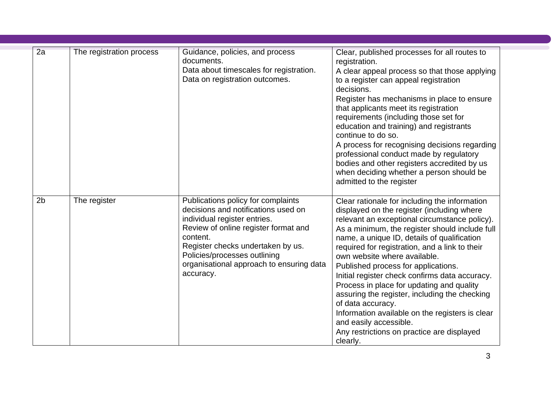| 2a             | The registration process | Guidance, policies, and process<br>documents.<br>Data about timescales for registration.<br>Data on registration outcomes.                                                                                                                                                                  | Clear, published processes for all routes to<br>registration.<br>A clear appeal process so that those applying<br>to a register can appeal registration<br>decisions.<br>Register has mechanisms in place to ensure<br>that applicants meet its registration<br>requirements (including those set for<br>education and training) and registrants<br>continue to do so.<br>A process for recognising decisions regarding<br>professional conduct made by regulatory<br>bodies and other registers accredited by us<br>when deciding whether a person should be<br>admitted to the register                                                                                          |
|----------------|--------------------------|---------------------------------------------------------------------------------------------------------------------------------------------------------------------------------------------------------------------------------------------------------------------------------------------|------------------------------------------------------------------------------------------------------------------------------------------------------------------------------------------------------------------------------------------------------------------------------------------------------------------------------------------------------------------------------------------------------------------------------------------------------------------------------------------------------------------------------------------------------------------------------------------------------------------------------------------------------------------------------------|
| 2 <sub>b</sub> | The register             | Publications policy for complaints<br>decisions and notifications used on<br>individual register entries.<br>Review of online register format and<br>content.<br>Register checks undertaken by us.<br>Policies/processes outlining<br>organisational approach to ensuring data<br>accuracy. | Clear rationale for including the information<br>displayed on the register (including where<br>relevant an exceptional circumstance policy).<br>As a minimum, the register should include full<br>name, a unique ID, details of qualification<br>required for registration, and a link to their<br>own website where available.<br>Published process for applications.<br>Initial register check confirms data accuracy.<br>Process in place for updating and quality<br>assuring the register, including the checking<br>of data accuracy.<br>Information available on the registers is clear<br>and easily accessible.<br>Any restrictions on practice are displayed<br>clearly. |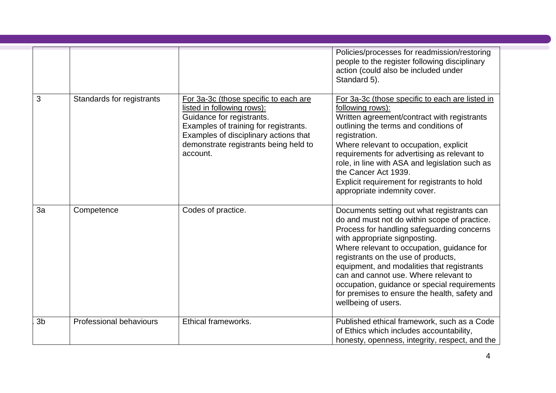|                |                           |                                                                                                                                                                                                                                         | Policies/processes for readmission/restoring<br>people to the register following disciplinary<br>action (could also be included under<br>Standard 5).                                                                                                                                                                                                                                                                                                                         |
|----------------|---------------------------|-----------------------------------------------------------------------------------------------------------------------------------------------------------------------------------------------------------------------------------------|-------------------------------------------------------------------------------------------------------------------------------------------------------------------------------------------------------------------------------------------------------------------------------------------------------------------------------------------------------------------------------------------------------------------------------------------------------------------------------|
| 3              | Standards for registrants | For 3a-3c (those specific to each are<br>listed in following rows):<br>Guidance for registrants.<br>Examples of training for registrants.<br>Examples of disciplinary actions that<br>demonstrate registrants being held to<br>account. | For 3a-3c (those specific to each are listed in<br>following rows):<br>Written agreement/contract with registrants<br>outlining the terms and conditions of<br>registration.<br>Where relevant to occupation, explicit<br>requirements for advertising as relevant to<br>role, in line with ASA and legislation such as<br>the Cancer Act 1939.<br>Explicit requirement for registrants to hold<br>appropriate indemnity cover.                                               |
| 3a             | Competence                | Codes of practice.                                                                                                                                                                                                                      | Documents setting out what registrants can<br>do and must not do within scope of practice.<br>Process for handling safeguarding concerns<br>with appropriate signposting.<br>Where relevant to occupation, guidance for<br>registrants on the use of products,<br>equipment, and modalities that registrants<br>can and cannot use. Where relevant to<br>occupation, guidance or special requirements<br>for premises to ensure the health, safety and<br>wellbeing of users. |
| 3 <sub>b</sub> | Professional behaviours   | Ethical frameworks.                                                                                                                                                                                                                     | Published ethical framework, such as a Code<br>of Ethics which includes accountability,<br>honesty, openness, integrity, respect, and the                                                                                                                                                                                                                                                                                                                                     |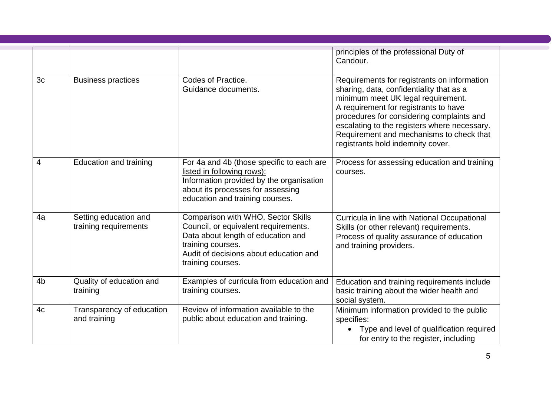|                |                                                |                                                                                                                                                                                                      | principles of the professional Duty of<br>Candour.                                                                                                                                                                                                                                                                                                   |
|----------------|------------------------------------------------|------------------------------------------------------------------------------------------------------------------------------------------------------------------------------------------------------|------------------------------------------------------------------------------------------------------------------------------------------------------------------------------------------------------------------------------------------------------------------------------------------------------------------------------------------------------|
| 3c             | <b>Business practices</b>                      | Codes of Practice.<br>Guidance documents.                                                                                                                                                            | Requirements for registrants on information<br>sharing, data, confidentiality that as a<br>minimum meet UK legal requirement.<br>A requirement for registrants to have<br>procedures for considering complaints and<br>escalating to the registers where necessary.<br>Requirement and mechanisms to check that<br>registrants hold indemnity cover. |
| 4              | Education and training                         | For 4a and 4b (those specific to each are<br>listed in following rows):<br>Information provided by the organisation<br>about its processes for assessing<br>education and training courses.          | Process for assessing education and training<br>courses.                                                                                                                                                                                                                                                                                             |
| 4a             | Setting education and<br>training requirements | Comparison with WHO, Sector Skills<br>Council, or equivalent requirements.<br>Data about length of education and<br>training courses.<br>Audit of decisions about education and<br>training courses. | Curricula in line with National Occupational<br>Skills (or other relevant) requirements.<br>Process of quality assurance of education<br>and training providers.                                                                                                                                                                                     |
| 4 <sub>b</sub> | Quality of education and<br>training           | Examples of curricula from education and<br>training courses.                                                                                                                                        | Education and training requirements include<br>basic training about the wider health and<br>social system.                                                                                                                                                                                                                                           |
| 4c             | Transparency of education<br>and training      | Review of information available to the<br>public about education and training.                                                                                                                       | Minimum information provided to the public<br>specifies:<br>Type and level of qualification required<br>for entry to the register, including                                                                                                                                                                                                         |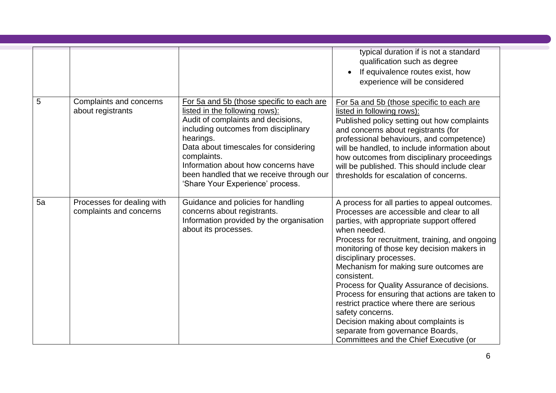|    |                                                       |                                                                                                                                                                                                                                                                                                                                                       | typical duration if is not a standard<br>qualification such as degree<br>If equivalence routes exist, how<br>experience will be considered                                                                                                                                                                                                                                                                                                                                                                                                                                                                                         |
|----|-------------------------------------------------------|-------------------------------------------------------------------------------------------------------------------------------------------------------------------------------------------------------------------------------------------------------------------------------------------------------------------------------------------------------|------------------------------------------------------------------------------------------------------------------------------------------------------------------------------------------------------------------------------------------------------------------------------------------------------------------------------------------------------------------------------------------------------------------------------------------------------------------------------------------------------------------------------------------------------------------------------------------------------------------------------------|
| 5  | Complaints and concerns<br>about registrants          | For 5a and 5b (those specific to each are<br>listed in the following rows):<br>Audit of complaints and decisions,<br>including outcomes from disciplinary<br>hearings.<br>Data about timescales for considering<br>complaints.<br>Information about how concerns have<br>been handled that we receive through our<br>'Share Your Experience' process. | For 5a and 5b (those specific to each are<br>listed in following rows):<br>Published policy setting out how complaints<br>and concerns about registrants (for<br>professional behaviours, and competence)<br>will be handled, to include information about<br>how outcomes from disciplinary proceedings<br>will be published. This should include clear<br>thresholds for escalation of concerns.                                                                                                                                                                                                                                 |
| 5a | Processes for dealing with<br>complaints and concerns | Guidance and policies for handling<br>concerns about registrants.<br>Information provided by the organisation<br>about its processes.                                                                                                                                                                                                                 | A process for all parties to appeal outcomes.<br>Processes are accessible and clear to all<br>parties, with appropriate support offered<br>when needed.<br>Process for recruitment, training, and ongoing<br>monitoring of those key decision makers in<br>disciplinary processes.<br>Mechanism for making sure outcomes are<br>consistent.<br>Process for Quality Assurance of decisions.<br>Process for ensuring that actions are taken to<br>restrict practice where there are serious<br>safety concerns.<br>Decision making about complaints is<br>separate from governance Boards,<br>Committees and the Chief Executive (or |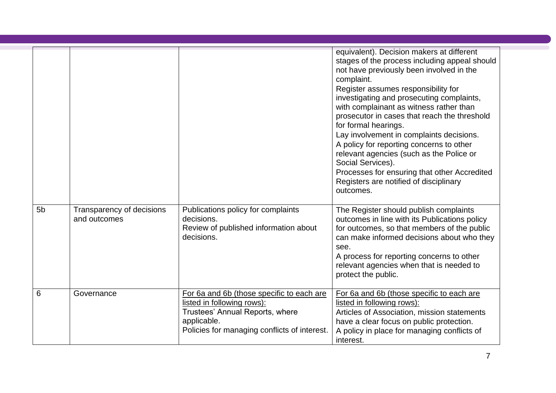| 5 <sub>b</sub> | Transparency of decisions | Publications policy for complaints                                                                                                                                        | equivalent). Decision makers at different<br>stages of the process including appeal should<br>not have previously been involved in the<br>complaint.<br>Register assumes responsibility for<br>investigating and prosecuting complaints,<br>with complainant as witness rather than<br>prosecutor in cases that reach the threshold<br>for formal hearings.<br>Lay involvement in complaints decisions.<br>A policy for reporting concerns to other<br>relevant agencies (such as the Police or<br>Social Services).<br>Processes for ensuring that other Accredited<br>Registers are notified of disciplinary<br>outcomes.<br>The Register should publish complaints |
|----------------|---------------------------|---------------------------------------------------------------------------------------------------------------------------------------------------------------------------|-----------------------------------------------------------------------------------------------------------------------------------------------------------------------------------------------------------------------------------------------------------------------------------------------------------------------------------------------------------------------------------------------------------------------------------------------------------------------------------------------------------------------------------------------------------------------------------------------------------------------------------------------------------------------|
|                | and outcomes              | decisions.<br>Review of published information about<br>decisions.                                                                                                         | outcomes in line with its Publications policy<br>for outcomes, so that members of the public<br>can make informed decisions about who they<br>see.<br>A process for reporting concerns to other<br>relevant agencies when that is needed to<br>protect the public.                                                                                                                                                                                                                                                                                                                                                                                                    |
| 6              | Governance                | For 6a and 6b (those specific to each are<br>listed in following rows):<br>Trustees' Annual Reports, where<br>applicable.<br>Policies for managing conflicts of interest. | For 6a and 6b (those specific to each are<br>listed in following rows):<br>Articles of Association, mission statements<br>have a clear focus on public protection.<br>A policy in place for managing conflicts of<br>interest.                                                                                                                                                                                                                                                                                                                                                                                                                                        |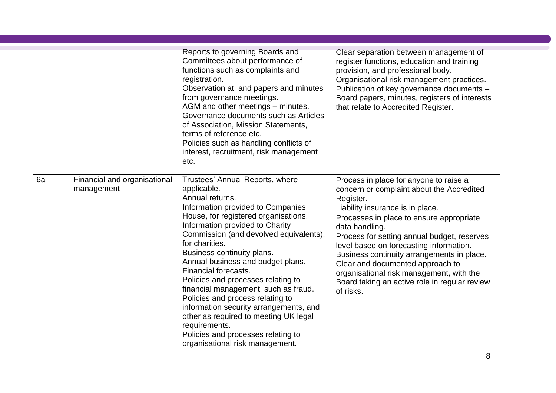|    |                                            | Reports to governing Boards and<br>Committees about performance of<br>functions such as complaints and<br>registration.<br>Observation at, and papers and minutes<br>from governance meetings.<br>AGM and other meetings - minutes.<br>Governance documents such as Articles<br>of Association, Mission Statements,<br>terms of reference etc.<br>Policies such as handling conflicts of<br>interest, recruitment, risk management<br>etc.                                                                                                                                                                                              | Clear separation between management of<br>register functions, education and training<br>provision, and professional body.<br>Organisational risk management practices.<br>Publication of key governance documents -<br>Board papers, minutes, registers of interests<br>that relate to Accredited Register.                                                                                                                                                                              |
|----|--------------------------------------------|-----------------------------------------------------------------------------------------------------------------------------------------------------------------------------------------------------------------------------------------------------------------------------------------------------------------------------------------------------------------------------------------------------------------------------------------------------------------------------------------------------------------------------------------------------------------------------------------------------------------------------------------|------------------------------------------------------------------------------------------------------------------------------------------------------------------------------------------------------------------------------------------------------------------------------------------------------------------------------------------------------------------------------------------------------------------------------------------------------------------------------------------|
| 6a | Financial and organisational<br>management | Trustees' Annual Reports, where<br>applicable.<br>Annual returns.<br>Information provided to Companies<br>House, for registered organisations.<br>Information provided to Charity<br>Commission (and devolved equivalents),<br>for charities.<br>Business continuity plans.<br>Annual business and budget plans.<br>Financial forecasts.<br>Policies and processes relating to<br>financial management, such as fraud.<br>Policies and process relating to<br>information security arrangements, and<br>other as required to meeting UK legal<br>requirements.<br>Policies and processes relating to<br>organisational risk management. | Process in place for anyone to raise a<br>concern or complaint about the Accredited<br>Register.<br>Liability insurance is in place.<br>Processes in place to ensure appropriate<br>data handling.<br>Process for setting annual budget, reserves<br>level based on forecasting information.<br>Business continuity arrangements in place.<br>Clear and documented approach to<br>organisational risk management, with the<br>Board taking an active role in regular review<br>of risks. |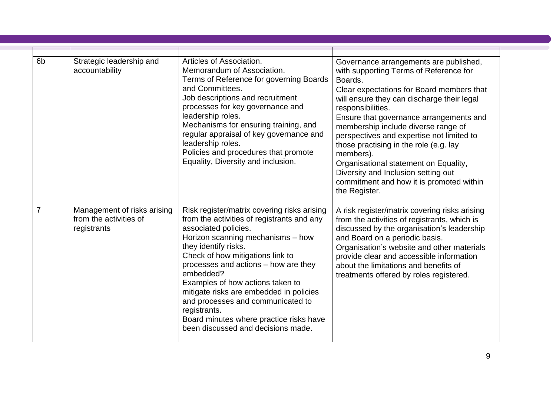| 6 <sub>b</sub> | Strategic leadership and<br>accountability                           | Articles of Association.<br>Memorandum of Association.<br>Terms of Reference for governing Boards<br>and Committees.<br>Job descriptions and recruitment<br>processes for key governance and<br>leadership roles.<br>Mechanisms for ensuring training, and<br>regular appraisal of key governance and<br>leadership roles.<br>Policies and procedures that promote<br>Equality, Diversity and inclusion.                                                                                     | Governance arrangements are published,<br>with supporting Terms of Reference for<br>Boards.<br>Clear expectations for Board members that<br>will ensure they can discharge their legal<br>responsibilities.<br>Ensure that governance arrangements and<br>membership include diverse range of<br>perspectives and expertise not limited to<br>those practising in the role (e.g. lay<br>members).<br>Organisational statement on Equality,<br>Diversity and Inclusion setting out |
|----------------|----------------------------------------------------------------------|----------------------------------------------------------------------------------------------------------------------------------------------------------------------------------------------------------------------------------------------------------------------------------------------------------------------------------------------------------------------------------------------------------------------------------------------------------------------------------------------|-----------------------------------------------------------------------------------------------------------------------------------------------------------------------------------------------------------------------------------------------------------------------------------------------------------------------------------------------------------------------------------------------------------------------------------------------------------------------------------|
|                | Management of risks arising<br>from the activities of<br>registrants | Risk register/matrix covering risks arising<br>from the activities of registrants and any<br>associated policies.<br>Horizon scanning mechanisms - how<br>they identify risks.<br>Check of how mitigations link to<br>processes and actions - how are they<br>embedded?<br>Examples of how actions taken to<br>mitigate risks are embedded in policies<br>and processes and communicated to<br>registrants.<br>Board minutes where practice risks have<br>been discussed and decisions made. | commitment and how it is promoted within<br>the Register.<br>A risk register/matrix covering risks arising<br>from the activities of registrants, which is<br>discussed by the organisation's leadership<br>and Board on a periodic basis.<br>Organisation's website and other materials<br>provide clear and accessible information<br>about the limitations and benefits of<br>treatments offered by roles registered.                                                          |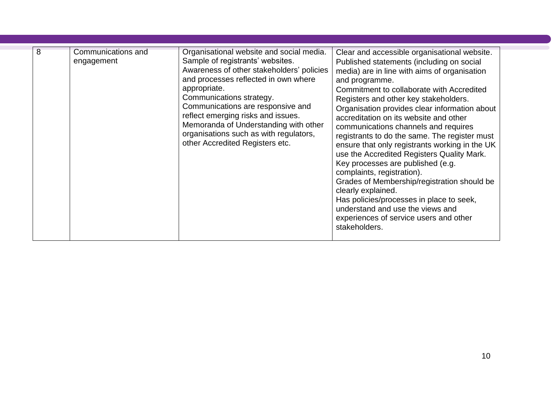| 8 | Communications and<br>engagement | Organisational website and social media.<br>Sample of registrants' websites.<br>Awareness of other stakeholders' policies<br>and processes reflected in own where<br>appropriate.<br>Communications strategy.<br>Communications are responsive and<br>reflect emerging risks and issues.<br>Memoranda of Understanding with other<br>organisations such as with regulators,<br>other Accredited Registers etc. | Clear and accessible organisational website.<br>Published statements (including on social<br>media) are in line with aims of organisation<br>and programme.<br>Commitment to collaborate with Accredited<br>Registers and other key stakeholders.<br>Organisation provides clear information about<br>accreditation on its website and other<br>communications channels and requires<br>registrants to do the same. The register must<br>ensure that only registrants working in the UK<br>use the Accredited Registers Quality Mark.<br>Key processes are published (e.g.<br>complaints, registration).<br>Grades of Membership/registration should be<br>clearly explained.<br>Has policies/processes in place to seek,<br>understand and use the views and<br>experiences of service users and other<br>stakeholders. |
|---|----------------------------------|----------------------------------------------------------------------------------------------------------------------------------------------------------------------------------------------------------------------------------------------------------------------------------------------------------------------------------------------------------------------------------------------------------------|--------------------------------------------------------------------------------------------------------------------------------------------------------------------------------------------------------------------------------------------------------------------------------------------------------------------------------------------------------------------------------------------------------------------------------------------------------------------------------------------------------------------------------------------------------------------------------------------------------------------------------------------------------------------------------------------------------------------------------------------------------------------------------------------------------------------------|
|---|----------------------------------|----------------------------------------------------------------------------------------------------------------------------------------------------------------------------------------------------------------------------------------------------------------------------------------------------------------------------------------------------------------------------------------------------------------|--------------------------------------------------------------------------------------------------------------------------------------------------------------------------------------------------------------------------------------------------------------------------------------------------------------------------------------------------------------------------------------------------------------------------------------------------------------------------------------------------------------------------------------------------------------------------------------------------------------------------------------------------------------------------------------------------------------------------------------------------------------------------------------------------------------------------|